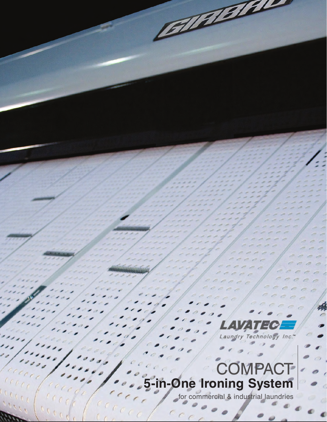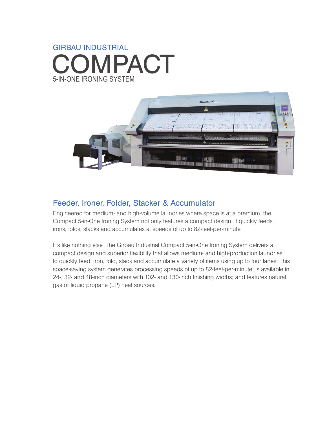# 5-IN-ONE IRONING SYSTEM GIRBAU INDUSTRIAL COMPACT



## Feeder, Ironer, Folder, Stacker & Accumulator

Engineered for medium- and high-volume laundries where space is at a premium, the Compact 5-in-One Ironing System not only features a compact design, it quickly feeds, irons, folds, stacks and accumulates at speeds of up to 82-feet-per-minute.

It's like nothing else. The Girbau Industrial Compact 5-in-One Ironing System delivers a compact design and superior flexibility that allows medium- and high-production laundries to quickly feed, iron, fold, stack and accumulate a variety of items using up to four lanes. This space-saving system generates processing speeds of up to 82-feet-per-minute; is available in 24-, 32- and 48-inch diameters with 102- and 130-inch finishing widths; and features natural gas or liquid propane (LP) heat sources.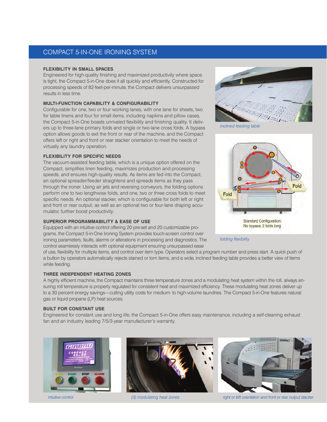### COMPACT 5-IN-ONE IRONING SYSTEM

#### **FLEXIBILITY IN SMALL SPACES**

Engineered for high-quality finishing and maximized productivity where space is tight, the Compact 5-in-One does it all quickly and efficiently. Constructed for processing speeds of 82-feet-per-minute, the Compact delivers unsurpassed results in less time.

#### **MULTI-FUNCTION CAPABILITY & CONFIGURABILITY**

Configurable for one, two or four working lanes, with one lane for sheets, two for table linens and four for small items, including napkins and pillow cases, the Compact 5-in-One boasts unrivaled flexibility and finishing quality. It delivers up to three-lane primary folds and single or two-lane cross folds. A bypass option allows goods to exit the front or rear of the machine, and the Compact offers left or right and front or rear stacker orientation to meet the needs of virtually any laundry operation.

#### **FLEXIBILITY FOR SPECIFIC NEEDS**

The vacuum-assisted feeding table, which is a unique option offered on the Compact, simplifies linen feeding, maximizes production and processing speeds, and ensures high-quality results. As items are fed into the Compact, an optional spreader/feeder straightens and spreads items as they pass through the ironer. Using air jets and reversing conveyors, the folding options perform one to two lengthwise folds, and one, two or three cross folds to meet specific needs. An optional stacker, which is configurable for both left or right and front or rear output, as well as an optional two or four-lane draping accumulator, further boost productivity.

#### **SUPERIOR PROGRAMMABILITY & EASE OF USE**

Equipped with an intuitive control offering 20 pre-set and 20 customizable programs, the Compact 5-in-One Ironing System provides touch-screen control over ironing parameters, faults, alarms or alterations in processing and diagnostics. The control seamlessly interacts with optional equipment ensuring unsurpassed ease



*inclined feeding table*



*folding flexibility*

of use, flexibility for multiple items, and control over item type. Operators select a program number and press start. A quick push of a button by operators automatically rejects stained or torn items, and a wide, inclined feeding table provides a better view of items while feeding.

#### **THREE INDEPENDENT HEATING ZONES**

A highly efficient machine, the Compact maintains three temperature zones and a modulating heat system within the roll, always ensuring roll temperature is properly regulated for consistent heat and maximized efficiency. These modulating heat zones deliver up to a 30 percent energy savings—cutting utility costs for medium- to high-volume laundries. The Compact 5-in-One features natural gas or liquid propane (LP) heat sources.

#### **BUILT FOR CONSTANT USE**

Engineered for constant use and long life, the Compact 5-in-One offers easy maintenance, including a self-cleaning exhaust fan and an industry leading 7/5/3-year manufacturer's warranty.







*intuitive control (3) modulating heat zones right or left orientation and front or rear output stacker*